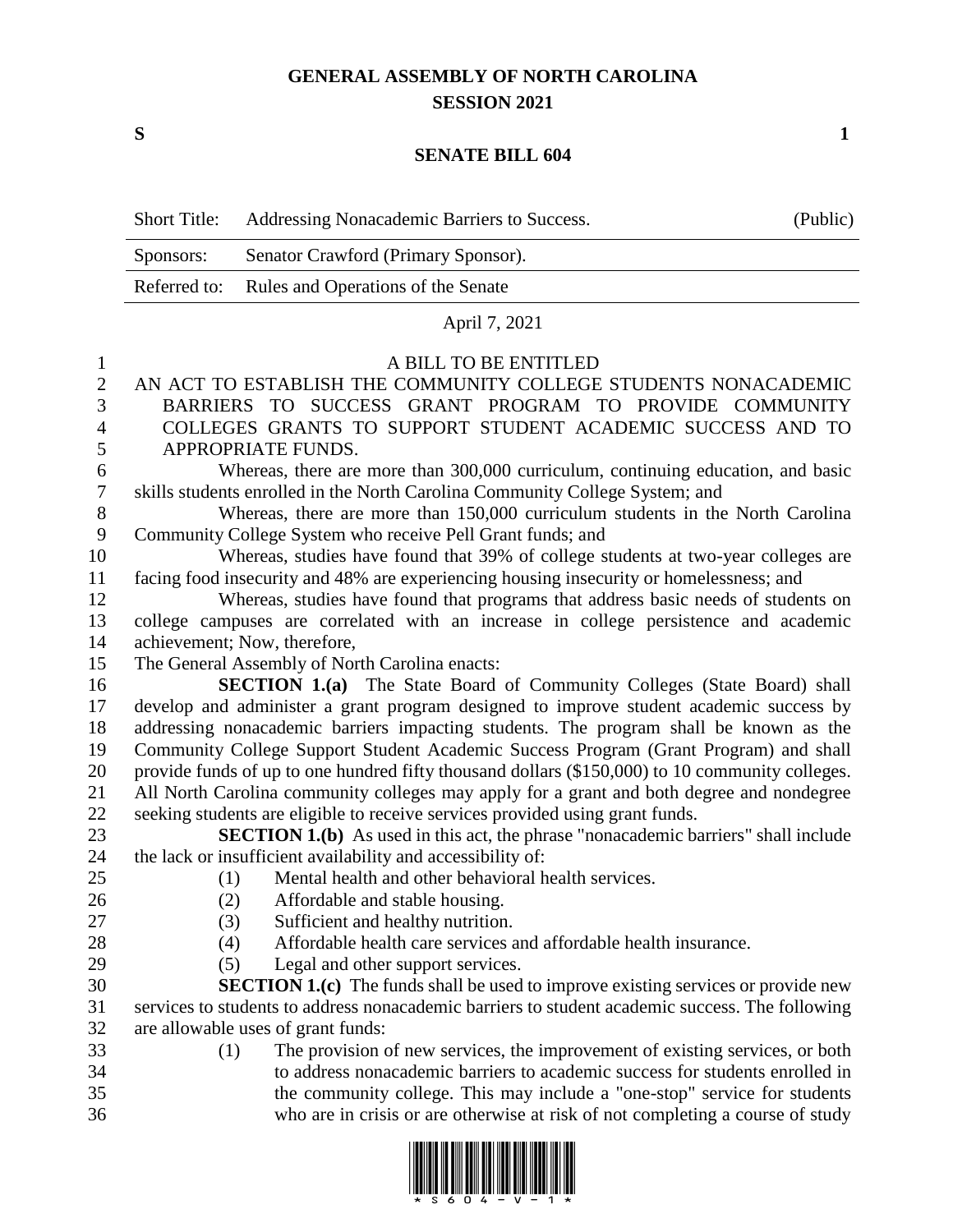## **GENERAL ASSEMBLY OF NORTH CAROLINA SESSION 2021**

**S 1**

## **SENATE BILL 604**

|           | Short Title: Addressing Nonacademic Barriers to Success. | (Public) |
|-----------|----------------------------------------------------------|----------|
| Sponsors: | Senator Crawford (Primary Sponsor).                      |          |
|           | Referred to: Rules and Operations of the Senate          |          |
|           |                                                          |          |

## April 7, 2021

## A BILL TO BE ENTITLED

 AN ACT TO ESTABLISH THE COMMUNITY COLLEGE STUDENTS NONACADEMIC BARRIERS TO SUCCESS GRANT PROGRAM TO PROVIDE COMMUNITY COLLEGES GRANTS TO SUPPORT STUDENT ACADEMIC SUCCESS AND TO APPROPRIATE FUNDS.

 Whereas, there are more than 300,000 curriculum, continuing education, and basic skills students enrolled in the North Carolina Community College System; and

 Whereas, there are more than 150,000 curriculum students in the North Carolina Community College System who receive Pell Grant funds; and

 Whereas, studies have found that 39% of college students at two-year colleges are facing food insecurity and 48% are experiencing housing insecurity or homelessness; and

 Whereas, studies have found that programs that address basic needs of students on college campuses are correlated with an increase in college persistence and academic achievement; Now, therefore,

The General Assembly of North Carolina enacts:

 **SECTION 1.(a)** The State Board of Community Colleges (State Board) shall develop and administer a grant program designed to improve student academic success by addressing nonacademic barriers impacting students. The program shall be known as the Community College Support Student Academic Success Program (Grant Program) and shall provide funds of up to one hundred fifty thousand dollars (\$150,000) to 10 community colleges. All North Carolina community colleges may apply for a grant and both degree and nondegree seeking students are eligible to receive services provided using grant funds.

 **SECTION 1.(b)** As used in this act, the phrase "nonacademic barriers" shall include the lack or insufficient availability and accessibility of:

 (1) Mental health and other behavioral health services. (2) Affordable and stable housing.

- 
- (3) Sufficient and healthy nutrition.
- (4) Affordable health care services and affordable health insurance.
- 

(5) Legal and other support services.

 **SECTION 1.(c)** The funds shall be used to improve existing services or provide new services to students to address nonacademic barriers to student academic success. The following are allowable uses of grant funds:

 (1) The provision of new services, the improvement of existing services, or both to address nonacademic barriers to academic success for students enrolled in the community college. This may include a "one-stop" service for students who are in crisis or are otherwise at risk of not completing a course of study

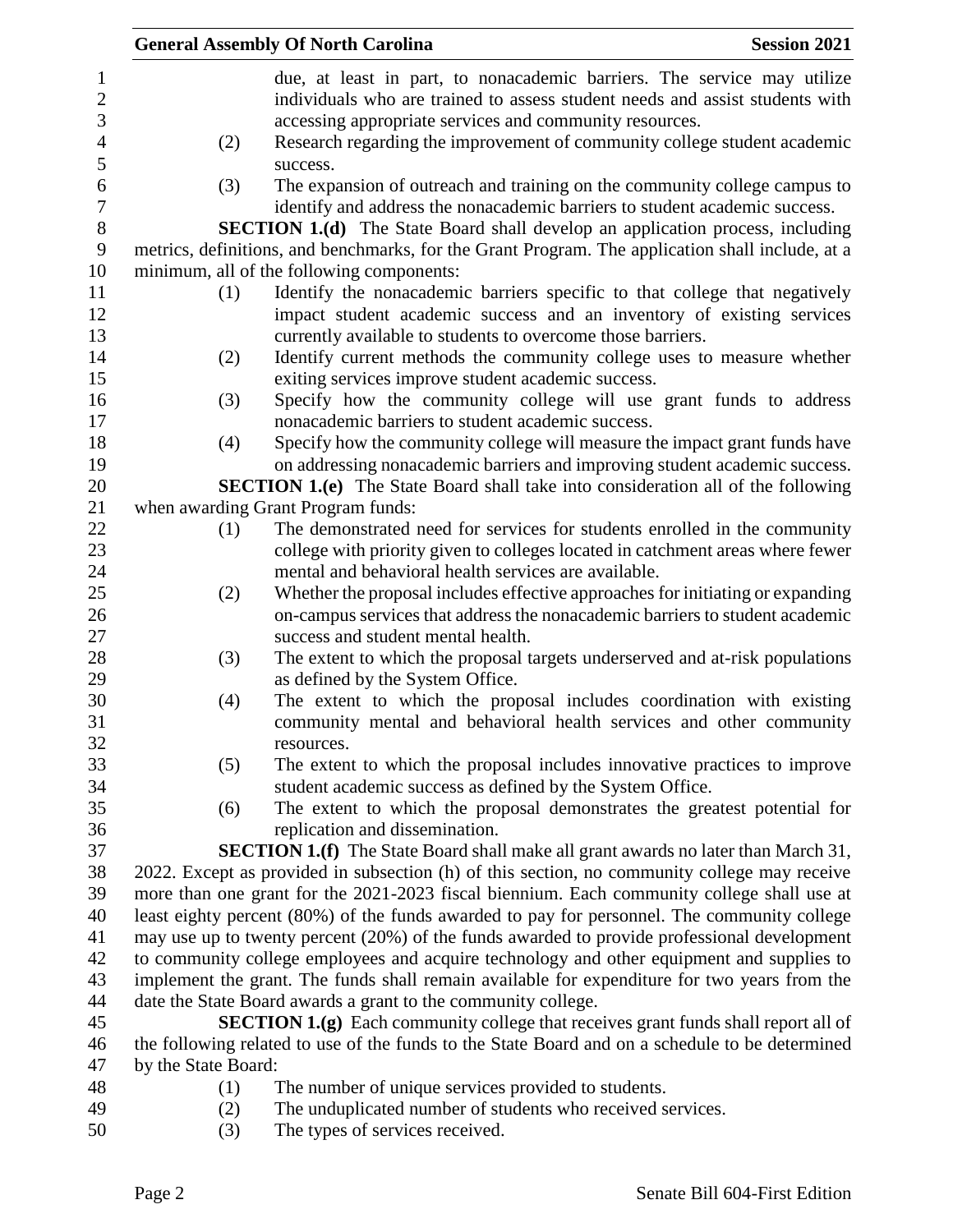|                     |     | <b>General Assembly Of North Carolina</b><br><b>Session 2021</b>                                 |
|---------------------|-----|--------------------------------------------------------------------------------------------------|
|                     |     | due, at least in part, to nonacademic barriers. The service may utilize                          |
|                     |     | individuals who are trained to assess student needs and assist students with                     |
|                     |     | accessing appropriate services and community resources.                                          |
|                     | (2) | Research regarding the improvement of community college student academic                         |
|                     |     | success.                                                                                         |
|                     | (3) | The expansion of outreach and training on the community college campus to                        |
|                     |     | identify and address the nonacademic barriers to student academic success.                       |
|                     |     | <b>SECTION 1.(d)</b> The State Board shall develop an application process, including             |
|                     |     | metrics, definitions, and benchmarks, for the Grant Program. The application shall include, at a |
|                     |     | minimum, all of the following components:                                                        |
|                     | (1) | Identify the nonacademic barriers specific to that college that negatively                       |
|                     |     | impact student academic success and an inventory of existing services                            |
|                     |     | currently available to students to overcome those barriers.                                      |
|                     | (2) | Identify current methods the community college uses to measure whether                           |
|                     |     | exiting services improve student academic success.                                               |
|                     | (3) | Specify how the community college will use grant funds to address                                |
|                     |     | nonacademic barriers to student academic success.                                                |
|                     | (4) | Specify how the community college will measure the impact grant funds have                       |
|                     |     | on addressing nonacademic barriers and improving student academic success.                       |
|                     |     | <b>SECTION 1.(e)</b> The State Board shall take into consideration all of the following          |
|                     |     | when awarding Grant Program funds:                                                               |
|                     | (1) | The demonstrated need for services for students enrolled in the community                        |
|                     |     | college with priority given to colleges located in catchment areas where fewer                   |
|                     |     | mental and behavioral health services are available.                                             |
|                     | (2) | Whether the proposal includes effective approaches for initiating or expanding                   |
|                     |     | on-campus services that address the nonacademic barriers to student academic                     |
|                     |     | success and student mental health.                                                               |
|                     | (3) | The extent to which the proposal targets underserved and at-risk populations                     |
|                     |     | as defined by the System Office.                                                                 |
|                     | (4) | The extent to which the proposal includes coordination with existing                             |
|                     |     | community mental and behavioral health services and other community                              |
|                     |     | resources.                                                                                       |
|                     | (5) | The extent to which the proposal includes innovative practices to improve                        |
|                     |     | student academic success as defined by the System Office.                                        |
|                     | (6) | The extent to which the proposal demonstrates the greatest potential for                         |
|                     |     | replication and dissemination.                                                                   |
|                     |     | <b>SECTION 1.(f)</b> The State Board shall make all grant awards no later than March 31,         |
|                     |     | 2022. Except as provided in subsection (h) of this section, no community college may receive     |
|                     |     | more than one grant for the 2021-2023 fiscal biennium. Each community college shall use at       |
|                     |     | least eighty percent (80%) of the funds awarded to pay for personnel. The community college      |
|                     |     | may use up to twenty percent (20%) of the funds awarded to provide professional development      |
|                     |     | to community college employees and acquire technology and other equipment and supplies to        |
|                     |     | implement the grant. The funds shall remain available for expenditure for two years from the     |
|                     |     | date the State Board awards a grant to the community college.                                    |
|                     |     | <b>SECTION 1.(g)</b> Each community college that receives grant funds shall report all of        |
|                     |     | the following related to use of the funds to the State Board and on a schedule to be determined  |
| by the State Board: |     |                                                                                                  |
|                     | (1) | The number of unique services provided to students.                                              |
|                     | (2) | The unduplicated number of students who received services.                                       |

(3) The types of services received.